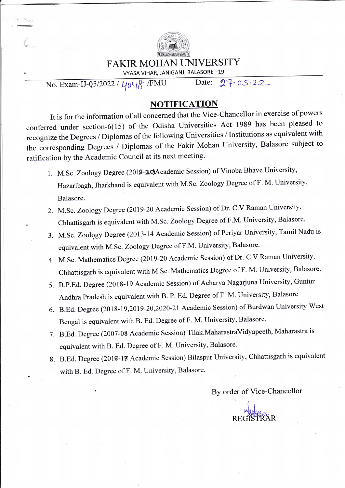

## FAKIR MOHAN UNIVERSITY

VYASA VIHAR, JANIGANJ, BALASORE \_19

No. Exam-IJ-Q5/2022 /  $y_0y_0$  /FMU Date: 27-05.22

## NOTIFICATIQN

It is for the information of all concemed that the Vice-Chancellor in exercise of powers conferred under section-6(15) of the odisha Universities Act 1989 has been pleased to recognize the Degrees / Diplomas of the following Universities / Institutions as equivalent with the corresponding Degrees / Diplomas of the Fakir Mohan University, Balasore subject to ratification by the Academic Council at its next meeting.

- 1. M.Sc. Zoology Degree (2019-20)Academic Session) of Vinoba Bhave University, Hazaribagh, Jharkhand is equivalent with M.Sc. Zoology Degree of F. M. University, Balasore.
- 2. M.Sc. Zoology Degree (2019-20 Academic Session) of Dr. C.V Raman University, Chhattisgarh is equivalent with M.Sc. Zoology Degree of F.M. University, Balasore.
- 3. M.Sc. Zoology Degree (2013-14 Academic Session) of Periyar University, Tamil Nadu is equivalent with M.Sc. Zoology Degree of F.M. University, Balasore.
- 4. M.Sc. Mathematics Degree (2019-20 Academic Session) of Dr. C.V Raman University, Chhattisgarh is equivalent with M.Sc. Mathematics Degree of F. M. University, Balasore'
- 5. B.p.Ed. Degree (2018-19 Academic Session) of Acharya Nagarjuna University, Guntur Andhra Pradesh is equivalent with B. P. Ed. Degree of F. M. University, Balasore
- 6. B.Ed. Degree (2018-19,2019-20,2020-21 Academic Session) of Burdwan University West Bengal is equivalent with B. Ed. Degree of F. M. University, Balasore.
- 7. B.Ed. Degree (2007-08 Academic Session) Tilak.MaharastraVidyapeeth, Maharastra is equivalent with B. Ed. Degree of F. M. University, Balasore.

.

8. B.Ed. Degree (2016-17 Academic Session) Bilaspur University, Chhattisgarh is equivalent with B. Ed. Degree of F. M. University, Balasore.

By order of Vice-Chancellor

I **Legate** REGISTRAR